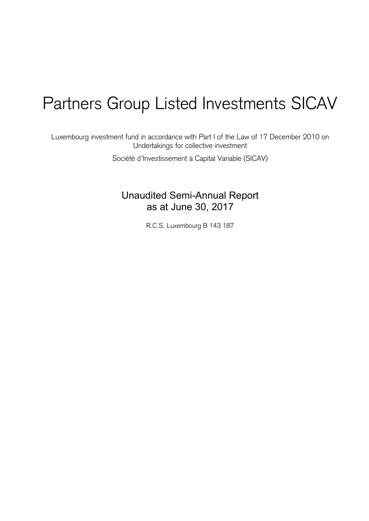# Partners Group Listed Investments SICAV

Luxembourg investment fund in accordance with Part I of the Law of 17 December 2010 on Undertakings for collective investment

Société d'Investissement à Capital Variable (SICAV)

Unaudited Semi-Annual Report as at June 30, 2017

R.C.S. Luxembourg B 143 187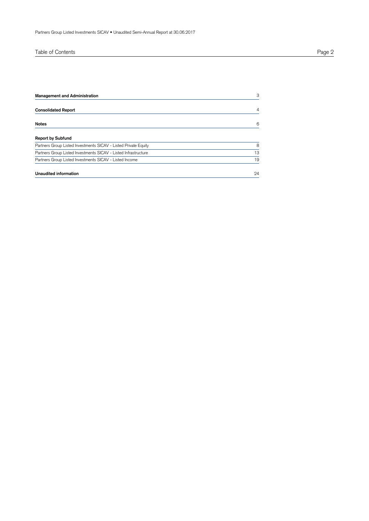| Table of Contents | Page |
|-------------------|------|
|-------------------|------|

| <b>Management and Administration</b>                            | 3  |
|-----------------------------------------------------------------|----|
| <b>Consolidated Report</b>                                      | 4  |
| <b>Notes</b>                                                    | 6  |
| <b>Report by Subfund</b>                                        |    |
| Partners Group Listed Investments SICAV - Listed Private Equity | 8  |
| Partners Group Listed Investments SICAV - Listed Infrastructure | 13 |
| Partners Group Listed Investments SICAV - Listed Income         | 19 |
| Unaudited information                                           | 24 |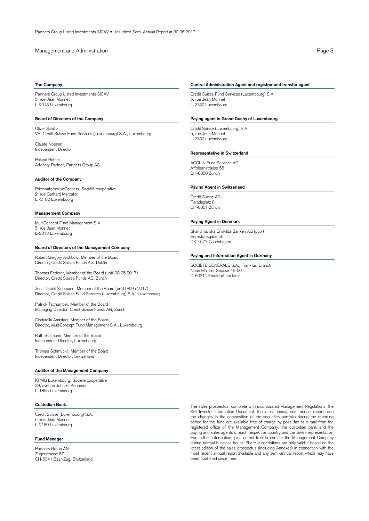## Management and Administration **Page 3**

## **The Company**

Partners Group Listed Investments SICAV 5, rue Jean Monnet L-2013 Luxembourg

## **Board of Directors of the Company**

Oliver Schütz VP, Credit Suisse Fund Services (Luxembourg) S.A., Luxembourg

Claude Noesen Independent Director

Roland Roffler Advisory Partner, Partners Group AG

## **Auditor of the Company**

PricewaterhouseCoopers, Société coopérative 2, rue Gerhard Mercator L -2182 Luxembourg

## **Management Company**

MultiConcept Fund Management S.A. 5, rue Jean Monnet L-2013 Luxembourg

## **Board of Directors of the Management Company**

Robert Gregory Archbold, Member of the Board Director, Credit Suisse Funds AG, Dublin

Thomas Federer, Member of the Board (until 08.05.2017) Director, Credit Suisse Funds AG, Zurich

Jens Daniel Siepmann, Member of the Board (until 08.05.2017) Director, Credit Suisse Fund Services (Luxembourg) S.A., Luxembourg

Patrick Tschumper, Member of the Board Managing Director, Credit Suisse Funds AG, Zurich

Cindyrella Amistadi, Member of the Board Director, MultiConcept Fund Management S.A., Luxembourg

Ruth Bültmann, Member of the Board Independent Director, Luxembourg

Thomas Schmuckli, Member of the Board Independent Director, Switzerland

## **Auditor of the Management Company**

KPMG Luxembourg, Société coopérative 39, avenue John F. Kennedy L-1855 Luxembourg

## **Custodian Bank**

Credit Suisse (Luxembourg) S.A. 5, rue Jean Monnet L-2180 Luxembourg

## **Fund Manager**

Partners Group AG Zugerstrasse 57 CH-6341 Baar-Zug, Switzerland

## **Central Administration Agent and registrar and transfer agent**

Credit Suisse Fund Services (Luxembourg) S.A. 5, rue Jean Monnet L-2180 Luxembourg

## **Paying agent in Grand Duchy of Luxembourg**

Credit Suisse (Luxembourg) S.A. 5, rue Jean Monnet L-2180 Luxembourg

## **Representative in Switzerland**

ACOLIN Fund Services AG Affolternstrasse 56 CH-8050 Zurich

## **Paying Agent in Switzerland**

Credit Suisse AG Paradeplatz 8 CH-8001 Zurich

#### **Paying Agent in Denmark**

Skandinaviska Enskilda Banken AG (publ) Bernstoffsgade 50 DK-1577 Copenhagen

## **Paying and Information Agent in Germany**

SOCIÉTÉ GÉNÉRALE S.A., Frankfurt Branch Neue Mainzer Strasse 46-50 D-60311 Frankfurt am Main

The sales prospectus, complete with incorporated Management Regulations, the Key Investor Information Document, the latest annual, semi-annual reports and the changes in the composition of the securities portfolio during the reporting period for the fund are available free of charge by post, fax or e-mail from the registered office of the Management Company, the custodian bank and the paying and sales agents of each respective country and the Swiss representative. For further information, please feel free to contact the Management Company during normal business hours. Share subscriptions are only valid if based on the latest edition of the sales prospectus (including Annexes) in connection with the most recent annual report available and any semi-annual report which may have been published since then.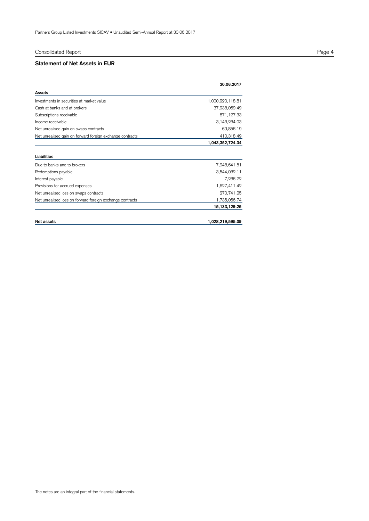## Consolidated Report Page 4

## **Statement of Net Assets in EUR**

|                                                           | 30.06.2017       |
|-----------------------------------------------------------|------------------|
| Assets                                                    |                  |
| Investments in securities at market value                 | 1,000,920,118.81 |
| Cash at banks and at brokers                              | 37,938,069.49    |
| Subscriptions receivable                                  | 871,127.33       |
| Income receivable                                         | 3,143,234.03     |
| Net unrealised gain on swaps contracts                    | 69,856.19        |
| Net unrealised gain on forward foreign exchange contracts | 410,318.49       |
|                                                           | 1,043,352,724.34 |
|                                                           |                  |
| Liabilities                                               |                  |
| Due to banks and to brokers                               | 7,948,641.51     |
| Redemptions payable                                       | 3,544,032.11     |
| Interest payable                                          | 7,236.22         |
| Provisions for accrued expenses                           | 1,627,411.42     |
| Net unrealised loss on swaps contracts                    | 270,741.25       |
| Net unrealised loss on forward foreign exchange contracts | 1,735,066.74     |
|                                                           | 15, 133, 129. 25 |
| Net assets                                                | 1,028,219,595.09 |
|                                                           |                  |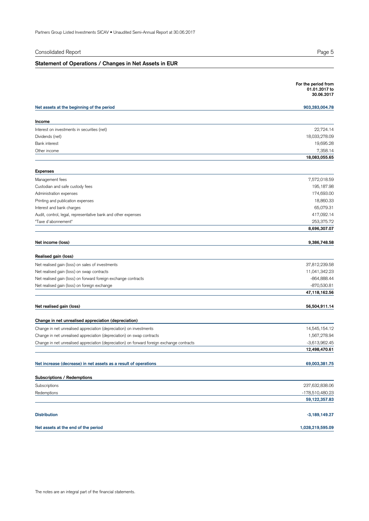| Consolidated Report                                                                        | Page 5                                             |
|--------------------------------------------------------------------------------------------|----------------------------------------------------|
| Statement of Operations / Changes in Net Assets in EUR                                     |                                                    |
|                                                                                            |                                                    |
|                                                                                            | For the period from<br>01.01.2017 to<br>30.06.2017 |
| Net assets at the beginning of the period                                                  | 903,283,004.78                                     |
| Income                                                                                     |                                                    |
| Interest on investments in securities (net)                                                | 22,724.14                                          |
| Dividends (net)                                                                            | 18,033,278.09                                      |
| <b>Bank</b> interest                                                                       | 19,695.28                                          |
| Other income                                                                               | 7,358.14<br>18,083,055.65                          |
|                                                                                            |                                                    |
| <b>Expenses</b><br>Management fees                                                         | 7,572,018.59                                       |
| Custodian and safe custody fees                                                            | 195,187.98                                         |
| Administration expenses                                                                    | 174,693.00                                         |
| Printing and publication expenses                                                          | 18,860.33                                          |
| Interest and bank charges                                                                  | 65,079.31                                          |
| Audit, control, legal, representative bank and other expenses                              | 417,092.14                                         |
| "Taxe d'abonnement"                                                                        | 253,375.72                                         |
|                                                                                            | 8,696,307.07                                       |
| Net income (loss)                                                                          | 9,386,748.58                                       |
| Realised gain (loss)                                                                       |                                                    |
| Net realised gain (loss) on sales of investments                                           | 37,812,239.58                                      |
| Net realised gain (loss) on swap contracts                                                 | 11,041,342.23                                      |
| Net realised gain (loss) on forward foreign exchange contracts                             | $-864,888.44$                                      |
| Net realised gain (loss) on foreign exchange                                               | -870,530.81                                        |
|                                                                                            | 47,118,162.56                                      |
| Net realised gain (loss)                                                                   | 56,504,911.14                                      |
| Change in net unrealised appreciation (depreciation)                                       |                                                    |
| Change in net unrealised appreciation (depreciation) on investments                        | 14,545,154.12                                      |
| Change in net unrealised appreciation (depreciation) on swap contracts                     | 1,567,278.94                                       |
| Change in net unrealised appreciation (depreciation) on forward foreign exchange contracts | $-3,613,962.45$                                    |
|                                                                                            | 12,498,470.61                                      |
| Net increase (decrease) in net assets as a result of operations                            | 69,003,381.75                                      |
| Subscriptions / Redemptions                                                                |                                                    |
| Subscriptions                                                                              | 237,632,838.06                                     |
| Redemptions                                                                                | -178,510,480.23                                    |
|                                                                                            | 59,122,357.83                                      |
| <b>Distribution</b>                                                                        | $-3,189,149.27$                                    |
| Net assets at the end of the period                                                        | 1,028,219,595.09                                   |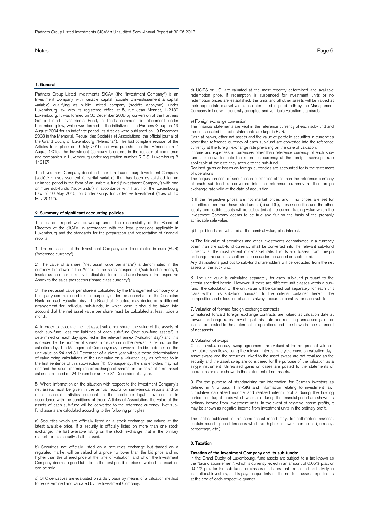## **1. General**

Partners Group Listed Investments SICAV (the "Investment Company") is an Investment Company with variable capital (société d'investissement à capital variable) qualifying as public limited company (société anonyme), under Luxembourg law with its registered office at 5, rue Jean Monnet, L-2180 Luxembourg. It was formed on 30 December 2008 by conversion of the Partners Group Listed Investments Fund, a fonds commun de placement under Luxembourg law, which was formed at the initiative of the Partners Group on 19 August 2004 for an indefinite period. Its Articles were published on 19 December 2008 in the Mémorial, Recueil des Sociétés et Associations, the official journal of the Grand Duchy of Luxembourg ("Mémorial"). The last complete revision of the Articles took place on 9 July 2015 and was published in the Mémorial on 7 August 2015. The Investment Company is entered in the register of commerce and companies in Luxembourg under registration number R.C.S. Luxembourg B 143187.

The Investment Company described here is a Luxembourg Investment Company (société d'investissement à capital variable) that has been established for an unlimited period in the form of an umbrella fund ("Investment Company") with one or more sub-funds ("sub-funds") in accordance with Part I of the Luxembourg Law of 10 May 2016, on Undertakings for Collective Investment ("Law of 10 May 2016").

#### **2. Summary of significant accounting policies**

The financial report was drawn up under the responsibility of the Board of Directors of the SICAV, in accordance with the legal provisions applicable in Luxembourg and the standards for the preparation and presentation of financial reports.

1. The net assets of the Investment Company are denominated in euro (EUR) ("reference currency").

2. The value of a share ("net asset value per share") is denominated in the currency laid down in the Annex to the sales prospectus ("sub-fund currency"), insofar as no other currency is stipulated for other share classes in the respective Annex to the sales prospectus ("share class currency").

3. The net asset value per share is calculated by the Management Company or a third party commissioned for this purpose, under the supervision of the Custodian Bank, on each valuation day. The Board of Directors may decide on a different arrangement for individual sub-funds, in which case it should be taken into account that the net asset value per share must be calculated at least twice a month.

4. In order to calculate the net asset value per share, the value of the assets of each sub-fund, less the liabilities of each sub-fund ("net sub-fund assets") is determined on each day specified in the relevant annex ("valuation day") and this is divided by the number of shares in circulation in the relevant sub-fund on the valuation day. The Management Company may, however, decide to determine the unit value on 24 and 31 December of a given year without these determinations of value being calculations of the unit value on a valuation day as referred to in the first sentence of this sub-section (4). Consequently, the shareholders may not demand the issue, redemption or exchange of shares on the basis of a net asset value determined on 24 December and/or 31 December of a year.

5. Where information on the situation with respect to the Investment Company's net assets must be given in the annual reports or semi-annual reports and/or other financial statistics pursuant to the applicable legal provisions or in accordance with the conditions of these Articles of Association, the value of the assets of each sub-fund will be converted to the reference currency. Net subfund assets are calculated according to the following principles:

a) Securities which are officially listed on a stock exchange are valued at the latest available price. If a security is officially listed on more than one stock exchange, the last available listing on the stock exchange that is the primary market for this security shall be used.

b) Securities not officially listed on a securities exchange but traded on a regulated market will be valued at a price no lower than the bid price and no higher than the offered price at the time of valuation, and which the Investment Company deems in good faith to be the best possible price at which the securities can be sold.

c) OTC derivatives are evaluated on a daily basis by means of a valuation method to be determined and validated by the Investment Company.

d) UCITS or UCI are valuated at the most recently determined and available redemption price. If redemption is suspended for investment units or no redemption prices are established, the units and all other assets will be valued at their appropriate market value, as determined in good faith by the Management Company in line with generally accepted and verifiable valuation standards.

e) Foreign exchange conversion

The financial statements are kept in the reference currency of each sub-fund and the consolidated financial statements are kept in EUR.

Cash at banks, other net assets and the value of portfolio securities in currencies other than reference currency of each sub-fund are converted into the reference currency at the foreign exchange rate prevailing on the date of valuation.

Income and expenses in currencies other than reference currency of each subfund are converted into the reference currency at the foreign exchange rate applicable at the date they accrue to the sub-fund.

Realised gains or losses on foreign currencies are accounted for in the statement of operations.

The acquisition cost of securities in currencies other than the reference currency of each sub-fund is converted into the reference currency at the foreign exchange rate valid at the date of acquisition.

f) If the respective prices are not market prices and if no prices are set for securities other than those listed under (a) and (b), these securities and the other legally permissible assets will be calculated at the current trading value which the Investment Company deems to be true and fair on the basis of the probably achievable sale value.

g) Liquid funds are valuated at the nominal value, plus interest.

h) The fair value of securities and other investments denominated in a currency other than the sub-fund currency shall be converted into the relevant sub-fund currency at the most recent mid-market rate. Profits and losses from foreign exchange transactions shall on each occasion be added or subtracted.

Any distributions paid out to sub-fund shareholders will be deducted from the net assets of the sub-fund.

6. The unit value is calculated separately for each sub-fund pursuant to the criteria specified herein. However, if there are different unit classes within a subfund, the calculation of the unit value will be carried out separately for each unit class within this sub-fund pursuant to the criteria contained herein. The composition and allocation of assets always occurs separately for each sub-fund.

#### 7. Valuation of forward foreign exchange contracts

Unmatured forward foreign exchange contracts are valued at valuation date at forward exchange rates prevailing at this date and resulting unrealised gains or losses are posted to the statement of operations and are shown in the statement of net assets.

#### 8. Valuation of swaps

On each valuation day, swap agreements are valued at the net present value of the future cash flows, using the relevant interest rate yield curve on valuation day. Asset swaps and the securities linked to the asset swaps are not revalued as the security and the asset swap are considered for the purpose of the valuation as a single instrument. Unrealised gains or losses are posted to the statements of operations and are shown in the statement of net assets.

9. For the purpose of standardising tax information for German investors as defined in § 5 para. 1 InvStG and information relating to investment law, cumulative capitalised income and realised interim profits during the holding period from target funds which were sold during the financial period are shown as ordinary income from investment units. In the event of negative interim profits, it may be shown as negative income from investment units in the ordinary profit.

The tables published in this semi-annual report may, for arithmetical reasons, contain rounding up differences which are higher or lower than a unit (currency, percentage, etc.).

## **3. Taxation**

#### **Taxation of the Investment Company and its sub-funds:**

In the Grand Duchy of Luxembourg, fund assets are subject to a tax known as the "taxe d'abonnement", which is currently levied in an amount of 0.05% p.a., or 0.01% p.a. for the sub-funds or classes of shares that are issued exclusively to institutional investors, and is payable quarterly on the net fund assets reported as at the end of each respective quarter.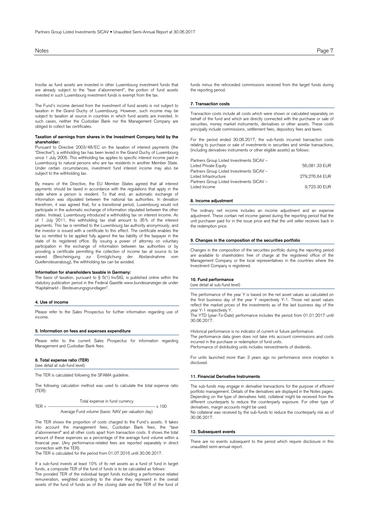Insofar as fund assets are invested in other Luxembourg investment funds that are already subject to the "taxe d'abonnement", the portion of fund assets invested in such Luxembourg investment funds is exempt from the tax.

The Fund's income derived from the investment of fund assets is not subject to taxation in the Grand Duchy of Luxembourg. However, such income may be subject to taxation at source in countries in which fund assets are invested. In such cases, neither the Custodian Bank nor the Management Company are obliged to collect tax certificates.

#### **Taxation of earnings from shares in the Investment Company held by the shareholder:**

Pursuant to Directive 2003/48/EC on the taxation of interest payments (the "Directive"), a withholding tax has been levied in the Grand Duchy of Luxembourg since 1 July 2005. This withholding tax applies to specific interest income paid in Luxembourg to natural persons who are tax residents in another Member State. Under certain circumstances, investment fund interest income may also be subject to the withholding tax.

By means of the Directive, the EU Member States agreed that all interest payments should be taxed in accordance with the regulations that apply in the state where a person is resident. To that end, an automatic exchange of information was stipulated between the national tax authorities. In deviation therefrom, it was agreed that, for a transitional period, Luxembourg would not participate in the automatic exchange of information stipulated between the other states. Instead, Luxembourg introduced a withholding tax on interest income. As of 1 July 2011, this withholding tax shall amount to 35% of the interest payments. This tax is remitted to the Luxembourg tax authority anonymously, and the investor is issued with a certificate to this effect. The certificate enables the tax so remitted to be applied fully against the tax liability of the taxpayer in the state of its registered office. By issuing a power of attorney on voluntary participation in the exchange of information between tax authorities or by providing a certificate permitting the collection of income tax at source to be waived (Bescheinigung zur Ermöglichung der Abstandnahme vom waived (Bescheinigung zur Ermöglichung der<br>Quellensteuerabzug), the withholding tax can be avoided.

#### **Information for shareholders taxable in Germany:**

The basis of taxation, pursuant to § 5(1) InvStG, is published online within the statutory publication period in the Federal Gazette www.bundesanzeiger.de under "Kapitalmarkt - Besteuerungsgrundlagen".

## **4. Use of income**

Please refer to the Sales Prospectus for further information regarding use of income.

#### **5. Information on fees and expenses expenditure**

Please refer to the current Sales Prospectus for information regarding Management and Custodian Bank fees.

## **6. Total expense ratio (TER)**

(see detail at sub-fund level)

The TER is calculated following the SFAMA guideline.

The following calculation method was used to calculate the total expense ratio (TER):

Total expense in fund currency

TER = ------------------------------------------------------------------- x 100 Average Fund volume (basis: NAV per valuation day)

The TER shows the proportion of costs charged to the Fund's assets. It takes into account the management fees, Custodian Bank fees, the "*taxe d'abonnement*" and all other costs apart from transaction costs. It shows the total amount of these expenses as a percentage of the average fund volume within a financial year. (Any performance-related fees are reported separately in direct connection with the TER).

The TER is calculated for the period from 01.07.2016 until 30.06.2017.

If a sub-fund invests at least 10% of its net assets as a fund of fund in target funds, a composite TER of the fund of funds is to be calculated as follows: The prorated TER of the individual target funds including a performance related remuneration, weighted according to the share they represent in the overall assets of the fund of funds as of the closing date and the TER of the fund of funds minus the retroceded commissions received from the target funds during the reporting period.

## **7. Transaction costs**

Transaction costs include all costs which were shown or calculated separately on behalf of the fund and which are directly connected with the purchase or sale of securities, money market instruments, derivatives or other assets. These costs principally include commissions, settlement fees, depository fees and taxes.

For the period ended 30.06.2017, the sub-funds incurred transaction costs relating to purchase or sale of investments in securities and similar transactions, (including derivatives instruments or other eligible assets) as follows:

| Partners Group Listed Investments SICAV - |                |
|-------------------------------------------|----------------|
| Listed Private Equity                     | 56.081.33 EUR  |
| Partners Group Listed Investments SICAV - |                |
| Listed Infrastructure                     | 279.276.64 EUR |
| Partners Group Listed Investments SICAV - |                |
| Listed Income                             | 9,723.30 EUR   |

#### **8. Income adjustment**

The ordinary net income includes an income adjustment and an expense adjustment. These contain net income gained during the reporting period that the unit purchaser paid for in the issue price and that the unit seller receives back in the redemption price.

## **9. Changes in the composition of the securities portfolio**

Changes in the composition of the securities portfolio during the reporting period are available to shareholders free of charge at the registered office of the Management Company or the local representatives in the countries where the Investment Company is registered.

## **10. Fund performance**

(see detail at sub-fund level)

The performance of the year Y is based on the net asset values as calculated on the first business day of the year Y respectively Y-1. Those net asset values reflect the market prices of the investments as of the last business day of the year Y-1 respectively Y.

The YTD (year-To-Date) performance includes the period from 01.01.2017 until 30.06.2017.

Historical performance is no indicator of current or future performance.

The performance data given does not take into account commissions and costs incurred in the purchase or redemption of fund units.

Performance of distributing units includes reinvestments of dividends.

For units launched more than 3 years ago no performance since inception is disclosed.

#### **11. Financial Derivative Instruments**

The sub-funds may engage in derivative transactions for the purpose of efficient portfolio management. Details of the derivatives are displayed in the Notes pages. Depending on the type of derivatives held, collateral might be received from the different counterparts to reduce the counterparty exposure. For other type of derivatives, margin accounts might be used.

No collateral was received by the sub-funds to reduce the counterparty risk as of 30.06.2017.

#### **12. Subsequent events**

There are no events subsequent to the period which require disclosure in this unaudited semi-annual report.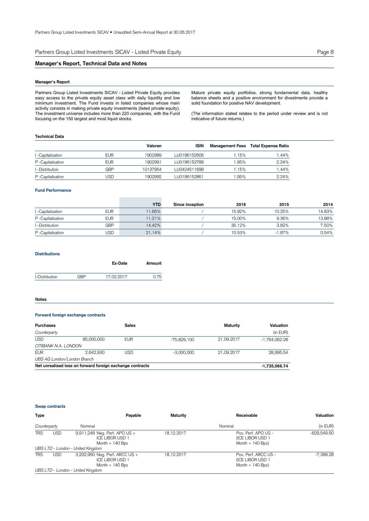Partners Group Listed Investments SICAV - Listed Private Equity Page 8

## **Manager's Report, Technical Data and Notes**

## **Manager's Report**

Partners Group Listed Investments SICAV - Listed Private Equity provides easy access to the private equity asset class with daily liquidity and low minimum investment. The Fund invests in listed companies whose main activity consists in making private equity investments (listed private equity). The investment universe includes more than 220 companies, with the Fund focusing on the 150 largest and most liquid stocks.

Mature private equity portfolios, strong fundamental data, healthy balance sheets and a positive environment for divestments provide a solid foundation for positive NAV development.

(The information stated relates to the period under review and is not indicative of future returns.)

## **Technical Data**

|                   |            | Valoren  | <b>ISIN</b>  | Management Fees | Total Expense Ratio |
|-------------------|------------|----------|--------------|-----------------|---------------------|
| I -Capitalisation | EUR        | 1902989  | LU0196152606 | .15%            | 1.44%               |
| P-Capitalisation  | <b>EUR</b> | 1902991  | LU0196152788 | .95%            | 2.24%               |
| I -Distribution   | GBP        | 10137954 | LU0424511698 | .15%            | 1.44%               |
| P-Capitalisation  | JSD        | 1902992  | LU0196152861 | .95%            | 2.24%               |

#### **Fund Performance**

|                   |            | <b>YTD</b> | <b>Since Inception</b> | 2016   | 2015     | 2014   |
|-------------------|------------|------------|------------------------|--------|----------|--------|
| I -Capitalisation | <b>EUR</b> | 11.65%     |                        | 15.92% | 10.25%   | 14.83% |
| P-Capitalisation  | <b>EUR</b> | 11.21%     |                        | 15.00% | 9.36%    | 13.88% |
| I -Distribution   | GBP        | 14.42%     |                        | 35.12% | 3.82%    | 7.50%  |
| P-Capitalisation  | USD        | 21.14%     |                        | 10.53% | $-1.87%$ | 0.54%  |

## **Distributions**

|                |     | Ex-Date    | Amount |
|----------------|-----|------------|--------|
| I-Distribution | GRP | 17.02.2017 | 0.75   |
|                |     |            |        |

#### **Notes**

## **Forward foreign exchange contracts**

| Purchases                   |                                                           | <b>Sales</b> |                 | Maturity   | Valuation       |
|-----------------------------|-----------------------------------------------------------|--------------|-----------------|------------|-----------------|
| Counterparty                |                                                           |              |                 |            | (in EUR)        |
| <b>USD</b>                  | 85,000,000                                                | <b>EUR</b>   | -75.829.100     | 21.09.2017 | $-1.764.062.28$ |
| CITIBANK N.A. LONDON        |                                                           |              |                 |            |                 |
| <b>EUR</b>                  | 2.642.930                                                 | USD          | $-3.000.000$    | 21.09.2017 | 28.995.54       |
| UBS AG London/London Branch |                                                           |              |                 |            |                 |
|                             | Net unrealised loss on forward foreign exchange contracts |              | $-1,735,066.74$ |            |                 |

## **Swap contracts**

| <b>Type</b>  |            | Payable                                                                                                          | Maturity   | Receivable                                                    | Valuation     |
|--------------|------------|------------------------------------------------------------------------------------------------------------------|------------|---------------------------------------------------------------|---------------|
| Counterparty |            | Nominal                                                                                                          |            | Nominal                                                       | (in EUR)      |
| <b>TRS</b>   | <b>USD</b> | 9,911,248 Neg. Perf. APO US +<br><b>ICE LIBOR USD 1</b><br>Month $+140$ Bps<br>UBS LTD - London - United Kingdom | 18.12.2017 | Pos. Perf. APO US -<br>(ICE LIBOR USD 1<br>Month $+$ 140 Bps) | $-629,549.50$ |
| <b>TRS</b>   | USD        | 3,202,950 Neg. Perf. ARCC US +                                                                                   | 18.12.2017 | Pos. Perf. ARCC US -                                          | $-7.399.28$   |
|              |            | <b>ICE LIBOR USD 1</b><br>Month $+140$ Bps                                                                       |            | (ICE LIBOR USD 1<br>Month $+$ 140 Bps)                        |               |
|              |            | UBS LTD - London - United Kingdom                                                                                |            |                                                               |               |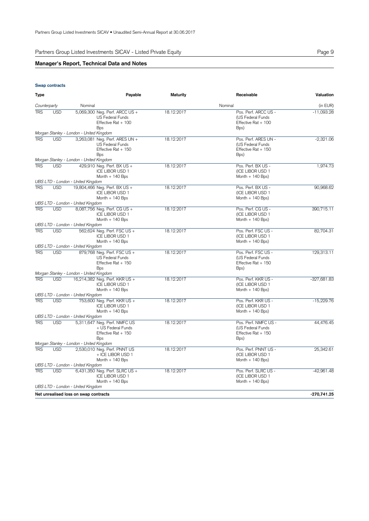Partners Group Listed Investments SICAV - Listed Private Equity **Partners** Crown Page 9

## **Manager's Report, Technical Data and Notes**

## **Swap contracts**

| Type         |            |                                                        | Payable                                                                          | <b>Maturity</b> | Receivable                                                               | Valuation     |
|--------------|------------|--------------------------------------------------------|----------------------------------------------------------------------------------|-----------------|--------------------------------------------------------------------------|---------------|
| Counterparty |            | Nominal                                                |                                                                                  |                 | Nominal                                                                  | (in EUR)      |
| <b>TRS</b>   | <b>USD</b> | <b>Bps</b>                                             | 5,069,300 Neg. Perf. ARCC US +<br><b>US Federal Funds</b><br>Effective Rat + 100 | 18.12.2017      | Pos. Perf. ARCC US -<br>(US Federal Funds<br>Effective Rat + 100<br>Bps) | $-11,093.28$  |
|              |            | Morgan Stanley - London - United Kingdom               |                                                                                  |                 |                                                                          |               |
| <b>TRS</b>   | <b>USD</b> | <b>Bps</b>                                             | 3,263,081 Neg. Perf. ARES UN +<br>US Federal Funds<br>Effective Rat + 150        | 18.12.2017      | Pos. Perf. ARES UN -<br>(US Federal Funds<br>Effective Rat + 150<br>Bps) | $-2,321.06$   |
| <b>TRS</b>   | <b>USD</b> | Morgan Stanley - London - United Kingdom               | 429,910 Neg. Perf. BX US +                                                       | 18.12.2017      | Pos. Perf. BX US -                                                       | 1,974.73      |
|              |            |                                                        | <b>ICE LIBOR USD 1</b><br>Month $+$ 140 Bps                                      |                 | (ICE LIBOR USD 1<br>Month $+$ 140 Bps)                                   |               |
|              |            | UBS LTD - London - United Kingdom                      |                                                                                  |                 |                                                                          |               |
| <b>TRS</b>   | <b>USD</b> | 19,804,466 Neg. Perf. BX US +                          | ICE LIBOR USD 1<br>Month $+$ 140 Bps                                             | 18.12.2017      | Pos. Perf. BX US -<br>(ICE LIBOR USD 1<br>Month $+$ 140 Bps)             | 90,968.62     |
|              |            | UBS LTD - London - United Kingdom                      |                                                                                  |                 |                                                                          |               |
| <b>TRS</b>   | <b>USD</b> | 8,087,756 Neg. Perf. CG US +                           | <b>ICE LIBOR USD 1</b><br>Month $+$ 140 Bps                                      | 18.12.2017      | Pos. Perf. CG US -<br>(ICE LIBOR USD 1<br>Month $+140$ Bps)              | 390,715.11    |
|              |            | UBS LTD - London - United Kingdom                      |                                                                                  |                 |                                                                          |               |
| <b>TRS</b>   | <b>USD</b> |                                                        | 562,624 Neg. Perf. FSC US +<br>ICE LIBOR USD 1<br>Month $+140$ Bps               | 18.12.2017      | Pos. Perf. FSC US -<br>(ICE LIBOR USD 1<br>Month $+$ 140 Bps)            | 82,704.31     |
|              |            | UBS LTD - London - United Kingdom                      |                                                                                  |                 |                                                                          |               |
| <b>TRS</b>   | <b>USD</b> | <b>Bps</b><br>Morgan Stanley - London - United Kingdom | 879,768 Neg. Perf. FSC US +<br><b>US Federal Funds</b><br>Effective Rat + 150    | 18.12.2017      | Pos. Perf. FSC US -<br>(US Federal Funds<br>Effective Rat + 150<br>Bps)  | 129,313.11    |
| <b>TRS</b>   | <b>USD</b> | 16,214,382 Neg. Perf. KKR US +                         |                                                                                  | 18.12.2017      | Pos. Perf. KKR US -                                                      | -327,681.83   |
|              |            |                                                        | ICE LIBOR USD 1<br>Month $+$ 140 Bps                                             |                 | (ICE LIBOR USD 1<br>Month $+$ 140 Bps)                                   |               |
|              |            | UBS LTD - London - United Kingdom                      |                                                                                  |                 |                                                                          |               |
| <b>TRS</b>   | <b>USD</b> |                                                        | 753,600 Neg. Perf. KKR US +<br><b>ICE LIBOR USD 1</b><br>Month $+140$ Bps        | 18.12.2017      | Pos. Perf. KKR US -<br>(ICE LIBOR USD 1<br>Month $+$ 140 Bps)            | $-15,229.76$  |
|              |            | UBS LTD - London - United Kingdom                      |                                                                                  |                 |                                                                          |               |
| <b>TRS</b>   | <b>USD</b> | <b>Bps</b>                                             | 5,311,647 Neg. Perf. NMFC US<br>+ US Federal Funds<br>Effective Rat + 150        | 18.12.2017      | Pos. Perf. NMFC US -<br>(US Federal Funds<br>Effective Rat + 150<br>Bps) | 44,476.45     |
|              |            | Morgan Stanley - London - United Kingdom               |                                                                                  |                 |                                                                          |               |
| <b>TRS</b>   | <b>USD</b> |                                                        | 2,530,010 Neg. Perf. PNNT US<br>+ ICE LIBOR USD 1<br>Month $+140$ Bps            | 18.12.2017      | Pos. Perf. PNNT US -<br>(ICE LIBOR USD 1<br>Month $+$ 140 Bps)           | 25,342.61     |
| <b>TRS</b>   | <b>USD</b> | UBS LTD - London - United Kingdom                      | 6,431,350 Neg. Perf. SLRC US +                                                   | 18.12.2017      | Pos. Perf. SLRC US -                                                     | $-42,961.48$  |
|              |            |                                                        | <b>ICE LIBOR USD 1</b><br>Month $+$ 140 Bps                                      |                 | (ICE LIBOR USD 1<br>Month $+$ 140 Bps)                                   |               |
|              |            | UBS LTD - London - United Kingdom                      |                                                                                  |                 |                                                                          |               |
|              |            | Net unrealised loss on swap contracts                  |                                                                                  |                 |                                                                          | $-270,741.25$ |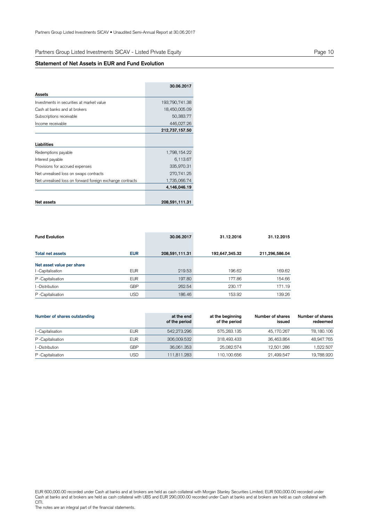Partners Group Listed Investments SICAV - Listed Private Equity

## **Statement of Net Assets in EUR and Fund Evolution**

|                                                           | 30.06.2017     |
|-----------------------------------------------------------|----------------|
| Assets                                                    |                |
| Investments in securities at market value                 | 193,790,741.38 |
| Cash at banks and at brokers                              | 18,450,005.09  |
| Subscriptions receivable                                  | 50,383.77      |
| Income receivable                                         | 446,027.26     |
|                                                           | 212,737,157.50 |
|                                                           |                |
| Liabilities                                               |                |
| Redemptions payable                                       | 1,798,154.22   |
| Interest payable                                          | 6,113.67       |
| Provisions for accrued expenses                           | 335,970.31     |
| Net unrealised loss on swaps contracts                    | 270,741.25     |
| Net unrealised loss on forward foreign exchange contracts | 1,735,066.74   |
|                                                           | 4,146,046.19   |
|                                                           |                |
| Net assets                                                | 208,591,111.31 |

| <b>Fund Evolution</b>     |            | 30.06.2017     | 31.12.2016     | 31.12.2015     |
|---------------------------|------------|----------------|----------------|----------------|
| <b>Total net assets</b>   | <b>EUR</b> | 208,591,111.31 | 192,647,345.32 | 211,296,586.04 |
| Net asset value per share |            |                |                |                |
| I -Capitalisation         | <b>EUR</b> | 219.53         | 196.62         | 169.62         |
| P-Capitalisation          | <b>EUR</b> | 197.80         | 177.86         | 154.66         |
| l -Distribution           | <b>GBP</b> | 262.54         | 230.17         | 171.19         |
| P-Capitalisation          | USD        | 186.46         | 153.92         | 139.26         |

| Number of shares outstanding |            | at the end<br>of the period | at the beginning<br>of the period | Number of shares<br>issued | Number of shares<br>redeemed |
|------------------------------|------------|-----------------------------|-----------------------------------|----------------------------|------------------------------|
| I -Capitalisation            | <b>EUR</b> | 542,273.296                 | 575.283.135                       | 45.170.267                 | 78.180.106                   |
| P -Capitalisation            | <b>EUR</b> | 306.009.532                 | 318.493.433                       | 36.463.864                 | 48,947.765                   |
| l -Distribution              | <b>GBP</b> | 36.061.353                  | 25.082.574                        | 12.501.286                 | .522.507                     |
| P -Capitalisation            | USD        | 111,811.283                 | 110,100.656                       | 21.499.547                 | 19,788.920                   |

EUR 600,000.00 recorded under Cash at banks and at brokers are held as cash collateral with Morgan Stanley Securities Limited; EUR 500,000.00 recorded under Cash at banks and at brokers are held as cash collateral with UBS and EUR 290,000.00 recorded under Cash at banks and at brokers are held as cash collateral with CITI.

The notes are an integral part of the financial statements.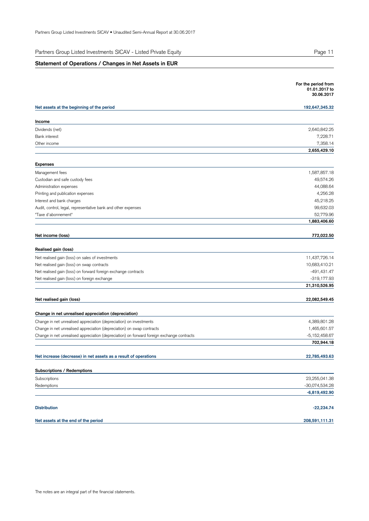Partners Group Listed Investments SICAV - Listed Private Equity

## **Statement of Operations / Changes in Net Assets in EUR**

|                                                                                            | For the period from<br>01.01.2017 to<br>30.06.2017 |
|--------------------------------------------------------------------------------------------|----------------------------------------------------|
| Net assets at the beginning of the period                                                  | 192,647,345.32                                     |
| Income                                                                                     |                                                    |
| Dividends (net)                                                                            | 2,640,842.25                                       |
| <b>Bank</b> interest                                                                       | 7,228.71                                           |
| Other income                                                                               | 7,358.14                                           |
|                                                                                            | 2,655,429.10                                       |
| <b>Expenses</b>                                                                            |                                                    |
| Management fees                                                                            | 1,587,857.18                                       |
| Custodian and safe custody fees                                                            | 49,574.26                                          |
| Administration expenses                                                                    | 44,088.64                                          |
| Printing and publication expenses                                                          | 4,256.28                                           |
| Interest and bank charges                                                                  | 45,218.25                                          |
| Audit, control, legal, representative bank and other expenses                              | 99,632.03                                          |
| "Taxe d'abonnement"                                                                        | 52,779.96                                          |
|                                                                                            | 1,883,406.60                                       |
| Net income (loss)                                                                          | 772,022.50                                         |
| Realised gain (loss)                                                                       |                                                    |
| Net realised gain (loss) on sales of investments                                           | 11,437,726.14                                      |
| Net realised gain (loss) on swap contracts                                                 | 10,683,410.21                                      |
| Net realised gain (loss) on forward foreign exchange contracts                             | -491,431.47                                        |
| Net realised gain (loss) on foreign exchange                                               | -319,177.93                                        |
|                                                                                            | 21,310,526.95                                      |
| Net realised gain (loss)                                                                   | 22,082,549.45                                      |
| Change in net unrealised appreciation (depreciation)                                       |                                                    |
| Change in net unrealised appreciation (depreciation) on investments                        | 4,389,801.28                                       |
| Change in net unrealised appreciation (depreciation) on swap contracts                     | 1,465,601.57                                       |
| Change in net unrealised appreciation (depreciation) on forward foreign exchange contracts | $-5,152,458.67$                                    |
|                                                                                            | 702,944.18                                         |
| Net increase (decrease) in net assets as a result of operations                            | 22,785,493.63                                      |
|                                                                                            |                                                    |
| Subscriptions / Redemptions                                                                |                                                    |
| Subscriptions<br>Redemptions                                                               | 23,255,041.38<br>-30,074,534.28                    |
|                                                                                            | $-6,819,492.90$                                    |
|                                                                                            |                                                    |
| <b>Distribution</b>                                                                        | $-22,234.74$                                       |
| Net assets at the end of the period                                                        | 208,591,111.31                                     |
|                                                                                            |                                                    |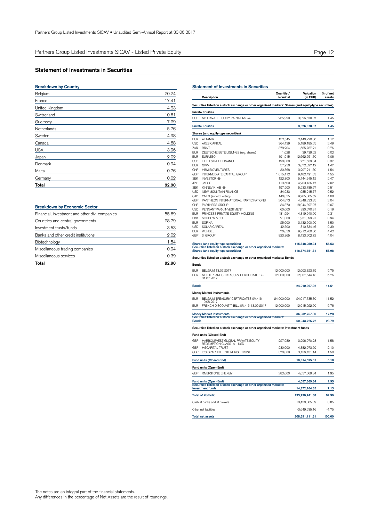## **Statement of Investments in Securities**

## Belgium 20.24 **Breakdown by Country** France 17.41 United Kingdom 14.23 Switzerland 10.61 Guernsey 7.29 Netherlands 5.76 Sweden 4.98 Canada 4.68 USA 3.96 Japan 2.02 Denmark 0.94 Malta 0.76 Germany 0.02 **Total 92.90**

| <b>Breakdown by Economic Sector</b>            |       |
|------------------------------------------------|-------|
| Financial, investment and other div. companies | 55.69 |
| Countries and central governments              | 28.79 |
| Investment trusts/funds                        | 3.53  |
| Banks and other credit institutions            | 2.02  |
| Biotechnology                                  | 1.54  |
| Miscellaneous trading companies                | 0.94  |
| Miscellaneous services                         | 0.39  |
| Total                                          | 92.90 |

|              | Description                                                                                              | Quantity /<br>Nominal | Valuation<br>(in EUR)      | % of net<br>assets |
|--------------|----------------------------------------------------------------------------------------------------------|-----------------------|----------------------------|--------------------|
|              | Securities listed on a stock exchange or other organised markets: Shares (and equity-type securities)    |                       |                            |                    |
|              | <b>Private Equities</b>                                                                                  |                       |                            |                    |
| USD          | NB PRIVATE EQUITY PARTNERS -A-                                                                           | 255,990               | 3,026,670.37               | 1.45               |
|              | <b>Private Equities</b>                                                                                  |                       | 3,026,670.37               | 1.45               |
|              |                                                                                                          |                       |                            |                    |
|              | Shares (and equity-type securities)                                                                      |                       |                            |                    |
| EUR          | <b>ALTAMIR</b>                                                                                           | 152,545               | 2,440,720.00               | 1.17               |
| USD<br>ZAR   | ARES CAPITAL<br><b>BRAIT</b>                                                                             | 364,439               | 5, 189, 185. 25            | 2.49<br>0.76       |
| EUR          | DEUTSCHE BETEILIGUNGS (reg. shares)                                                                      | 378,204<br>1,028      | 1,585,787.21<br>39,439.22  | 0.02               |
| <b>EUR</b>   | <b>EURAZEO</b>                                                                                           | 191,915               | 12,662,551.70              | 6.06               |
| <b>USD</b>   | FIFTH STREET FINANCE                                                                                     | 190,000               | 771,539.84                 | 0.37               |
| <b>EUR</b>   | GIMV                                                                                                     | 57,956                | 3,072,827.12               | 1.47               |
| CHF          | <b>HBM BIOVENTURES</b>                                                                                   | 30,868                | 3,207,211.60               | 1.54               |
| GBP          | INTERMEDIATE CAPITAL GROUP                                                                               | 1,015,412             | 9,482,491.63               | 4.55               |
| SEK          | INVESTOR-B-                                                                                              | 122,800               | 5, 144, 915. 12            | 2.47               |
| JPY          | <b>JAFCO</b>                                                                                             | 119,500               | 4,203,136.47               | 2.02               |
| <b>SEK</b>   | KINNEVIK AB-B-                                                                                           | 197,500               | 5,233,785.67               | 2.51               |
| USD          | NEW MOUNTAIN FINANCE                                                                                     | 84,933                | 1,085,215.77               | 0.52               |
| CAD          | ONEX (subord. voting)                                                                                    | 140,835               | 9,785,005.52               | 4.68               |
| GBP          | PANTHEON INTERNATIONAL PARTICIPATIONS                                                                    | 204,873               | 4,248,233.85               | 2.04               |
| CHF<br>USD   | PARTNERS GROUP                                                                                           | 34,870                | 18,944,327.07              | 9.07<br>0.19       |
| <b>EUR</b>   | PENNANTPARK INVESTMENT<br>PRINCESS PRIVATE EQUITY HOLDING                                                | 60,000                | 390,670.81<br>4,819,940.00 | 2.31               |
| <b>DKK</b>   | SCHOUW & CO                                                                                              | 481,994<br>21,000     | 1,951,399.91               | 0.94               |
| <b>EUR</b>   | SOFINA                                                                                                   | 25,000                | 3,132,500.00               | 1.50               |
| USD          | SOLAR CAPITAL                                                                                            | 42,500                | 810,834.46                 | 0.39               |
| <b>EUR</b>   | WENDEL                                                                                                   | 70,650                | 9,212,760.00               | 4.42               |
| GBP          | 31 GROUP                                                                                                 | 823,365               | 8,433,602.72               | 4.04               |
|              |                                                                                                          |                       |                            | 55.53              |
|              | Shares (and equity-type securities)<br>Securities listed on a stock exchange or other organised markets: |                       | 115,848,080.94             |                    |
|              | Shares (and equity-type securities)                                                                      |                       | 118,874,751.31             | 56.98              |
|              | Securities listed on a stock exchange or other organised markets: Bonds                                  |                       |                            |                    |
| Bonds        |                                                                                                          |                       |                            |                    |
| <b>EUR</b>   | BELGIUM 13.07.2017                                                                                       | 12,000,000            | 12,003,323.79              | 5.75               |
| EUR          | NETHERLANDS TREASURY CERTIFICATE 17-<br>31.07.2017                                                       | 12,000,000            | 12,007,644.13              | 5.76               |
| <b>Bonds</b> |                                                                                                          |                       | 24,010,967.92              | 11.51              |
|              | <b>Money Market Instruments</b>                                                                          |                       |                            |                    |
| EUR          | BELGIUM TREASURY CERTIFICATES 0%/16-                                                                     | 24,000,000            | 24,017,735.30              | 11.52              |
| EUR          | 10.08.2017<br>FRENCH DISCOUNT T-BILL 0%/16-13.09.2017                                                    | 12,000,000            | 12,015,022.50              | 5.76               |
|              |                                                                                                          |                       |                            |                    |
|              | <b>Money Market Instruments</b><br>Securities listed on a stock exchange or other organised markets:     |                       | 36,032,757.80              | 17.28              |
| <b>Bonds</b> |                                                                                                          |                       | 60,043,725.72              | 28.79              |
|              | Securities listed on a stock exchange or other organised markets: Investment funds                       |                       |                            |                    |
|              | Fund units (Closed-End)                                                                                  |                       |                            |                    |
| GBP          | HARBOURVEST GLOBAL PRIVATE EQUITY<br>REDEMPTION CLASS - A- - USD-                                        | 227,989               | 3,296,070.28               | 1.58               |
| GBP          | <b>HGCAPITAL TRUST</b>                                                                                   | 230,000               | 4.382.073.59               | 2.10               |
| GBP          | <b>ICG GRAPHITE ENTERPRISE TRUST</b>                                                                     | 370.869               | 3,136,451.14               | 1.50               |
|              | Fund units (Closed-End)                                                                                  |                       | 10,814,595.01              | 5.18               |
|              | Fund units (Open-End)                                                                                    |                       |                            |                    |
| GBP          | <b>RIVERSTONE ENERGY</b>                                                                                 | 282,000               | 4,057,669.34               | 1.95               |
|              |                                                                                                          |                       |                            |                    |
|              | Fund units (Open-End)<br>Securities listed on a stock exchange or other organised markets:               |                       | 4,057,669.34               | 1.95               |
|              | <b>Investment funds</b>                                                                                  |                       | 14,872,264.35              | 7.13               |
|              | <b>Total of Portfolio</b>                                                                                |                       | 193,790,741.38             | 92.90              |
|              | Cash at banks and at brokers                                                                             |                       | 18,450,005.09              | 8.85               |
|              | Other net liabilities                                                                                    |                       | -3,649,635.16              | -1.75              |
|              | <b>Total net assets</b>                                                                                  |                       | 208,591,111.31             | 100.00             |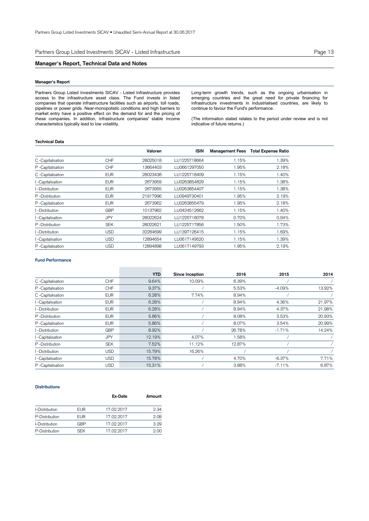Partners Group Listed Investments SICAV - Listed Infrastructure **Page 13** Page 13

## **Manager's Report, Technical Data and Notes**

## **Manager's Report**

Partners Group Listed Investments SICAV - Listed Infrastructure provides access to the infrastructure asset class. The Fund invests in listed companies that operate infrastructure facilities such as airports, toll roads, pipelines or power grids. Near-monopolistic conditions and high barriers to market entry have a positive effect on the demand for and the pricing of these companies. In addition, infrastructure companies' stable income characteristics typically lead to low volatility.

Long-term growth trends, such as the ongoing urbanisation in emerging countries and the great need for private financing for infrastructure investments in industrialised countries, are likely to continue to favour the Fund's performance.

(The information stated relates to the period under review and is not indicative of future returns.)

## **Technical Data**

|                   |            | Valoren  | <b>ISIN</b>  |       | Management Fees Total Expense Ratio |
|-------------------|------------|----------|--------------|-------|-------------------------------------|
| C -Capitalisation | CHF        | 28025018 | LU1225718664 | 1.15% | 1.39%                               |
| P -Capitalisation | <b>CHF</b> | 13664403 | LU0661297050 | 1.95% | 2.18%                               |
| C -Capitalisation | <b>EUR</b> | 28023438 | LU1225718409 | 1.15% | 1.40%                               |
| I -Capitalisation | <b>EUR</b> | 2673959  | LU0263854829 | 1.15% | 1.38%                               |
| I -Distribution   | <b>EUR</b> | 2673955  | LU0263854407 | 1.15% | 1.38%                               |
| P-Distribution    | <b>EUR</b> | 21917996 | LU0949730401 | 1.95% | 2.19%                               |
| P-Capitalisation  | <b>EUR</b> | 2673962  | LU0263855479 | 1.95% | 2.18%                               |
| l -Distribution   | <b>GBP</b> | 10137962 | LU0424512662 | 1.15% | 1.40%                               |
| I -Capitalisation | <b>JPY</b> | 28022624 | LU1225718078 | 0.70% | 0.94%                               |
| P-Distribution    | <b>SEK</b> | 28022621 | LU1225717856 | 1.50% | 1.73%                               |
| I -Distribution   | <b>USD</b> | 32284699 | LU1397126415 | 1.15% | 1.69%                               |
| I -Capitalisation | <b>USD</b> | 12894654 | LU0617149520 | 1.15% | 1.39%                               |
| P-Capitalisation  | USD        | 12894898 | LU0617149793 | 1.95% | 2.19%                               |

## **Fund Performance**

|                   |            | <b>YTD</b> | Since Inception | 2016   | 2015     | 2014   |
|-------------------|------------|------------|-----------------|--------|----------|--------|
| C -Capitalisation | <b>CHF</b> | 9.64%      | 10.09%          | 6.39%  |          |        |
| P -Capitalisation | <b>CHF</b> | 9.37%      |                 | 5.53%  | $-4.09%$ | 13.92% |
| C -Capitalisation | <b>EUR</b> | 6.28%      | 7.74%           | 8.94%  |          |        |
| I-Capitalisation  | <b>EUR</b> | 6.28%      |                 | 8.94%  | 4.36%    | 21.97% |
| I-Distribution    | <b>EUR</b> | 6.28%      |                 | 8.94%  | 4.37%    | 21.98% |
| P -Distribution   | <b>EUR</b> | 5.86%      |                 | 8.08%  | 3.53%    | 20.93% |
| P -Capitalisation | <b>EUR</b> | 5.86%      |                 | 8.07%  | 3.54%    | 20.99% |
| I-Distribution    | <b>GBP</b> | 8.92%      |                 | 26.78% | $-1.71%$ | 14.24% |
| I-Capitalisation  | <b>JPY</b> | 12.19%     | 4.07%           | 1.58%  |          |        |
| P -Distribution   | <b>SEK</b> | 7.52%      | 11.12%          | 12.87% |          |        |
| I-Distribution    | <b>USD</b> | 15.79%     | 16.26%          |        |          |        |
| I-Capitalisation  | <b>USD</b> | 15.78%     |                 | 4.70%  | $-6.37%$ | 7.71%  |
| P -Capitalisation | <b>USD</b> | 15.31%     |                 | 3.88%  | $-7.11%$ | 6.87%  |

## **Distributions**

|                |            | Ex-Date    | Amount |
|----------------|------------|------------|--------|
| I-Distribution | <b>EUR</b> | 17.02.2017 | 2.34   |
| P-Distribution | <b>EUR</b> | 17.02.2017 | 2.08   |
| I-Distribution | GRP        | 17.02.2017 | 3.29   |
| P-Distribution | SFK.       | 17.02.2017 | 2.00   |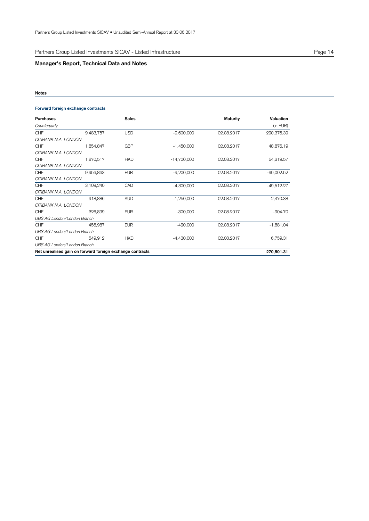Partners Group Listed Investments SICAV - Listed Infrastructure **Page 14** Page 14

## **Manager's Report, Technical Data and Notes**

## **Notes**

## **Forward foreign exchange contracts**

| Purchases                   |                                                           | <b>Sales</b> |               | Maturity   | Valuation    |
|-----------------------------|-----------------------------------------------------------|--------------|---------------|------------|--------------|
| Counterparty                |                                                           |              |               |            | (in EUR)     |
| <b>CHF</b>                  | 9,483,757                                                 | <b>USD</b>   | $-9,600,000$  | 02.08.2017 | 290,376.39   |
| CITIBANK N.A. LONDON        |                                                           |              |               |            |              |
| CHF                         | 1,854,847                                                 | <b>GBP</b>   | $-1,450,000$  | 02.08.2017 | 48,876.19    |
| CITIBANK N.A. LONDON        |                                                           |              |               |            |              |
| CHF                         | 1,870,517                                                 | <b>HKD</b>   | $-14,700,000$ | 02.08.2017 | 64,319.57    |
| CITIBANK N.A. LONDON        |                                                           |              |               |            |              |
| <b>CHF</b>                  | 9,956,863                                                 | <b>EUR</b>   | $-9,200,000$  | 02.08.2017 | $-90,002.52$ |
| CITIBANK N.A. LONDON        |                                                           |              |               |            |              |
| <b>CHF</b>                  | 3,109,240                                                 | CAD          | $-4,300,000$  | 02.08.2017 | $-49,512.27$ |
| CITIBANK N.A. LONDON        |                                                           |              |               |            |              |
| CHF                         | 918,886                                                   | <b>AUD</b>   | $-1,250,000$  | 02.08.2017 | 2,470.38     |
| CITIBANK N.A. LONDON        |                                                           |              |               |            |              |
| <b>CHF</b>                  | 326,899                                                   | <b>EUR</b>   | $-300,000$    | 02.08.2017 | $-904.70$    |
| UBS AG London/London Branch |                                                           |              |               |            |              |
| <b>CHF</b>                  | 456.987                                                   | <b>EUR</b>   | $-420,000$    | 02.08.2017 | $-1,881.04$  |
| UBS AG London/London Branch |                                                           |              |               |            |              |
| <b>CHF</b>                  | 549,912                                                   | <b>HKD</b>   | $-4,430,000$  | 02.08.2017 | 6,759.31     |
| UBS AG London/London Branch |                                                           |              |               |            |              |
|                             | Net unrealised gain on forward foreign exchange contracts |              |               |            | 270,501.31   |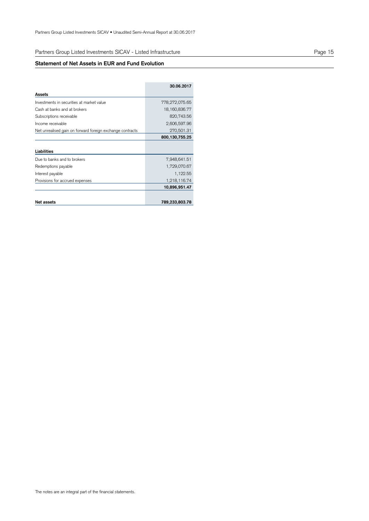## Partners Group Listed Investments SICAV - Listed Infrastructure

## **Statement of Net Assets in EUR and Fund Evolution**

|                                                           | 30.06.2017        |
|-----------------------------------------------------------|-------------------|
| Assets                                                    |                   |
| Investments in securities at market value                 | 778,272,075.65    |
| Cash at banks and at brokers                              | 18, 160, 836. 77  |
| Subscriptions receivable                                  | 820,743.56        |
| Income receivable                                         | 2,606,597.96      |
| Net unrealised gain on forward foreign exchange contracts | 270,501.31        |
|                                                           | 800, 130, 755. 25 |
|                                                           |                   |
| Liabilities                                               |                   |
| Due to banks and to brokers                               | 7,948,641.51      |
| Redemptions payable                                       | 1,729,070.67      |
| Interest payable                                          | 1,122.55          |
| Provisions for accrued expenses                           | 1,218,116.74      |
|                                                           | 10,896,951.47     |
|                                                           |                   |
| Net assets                                                | 789,233,803.78    |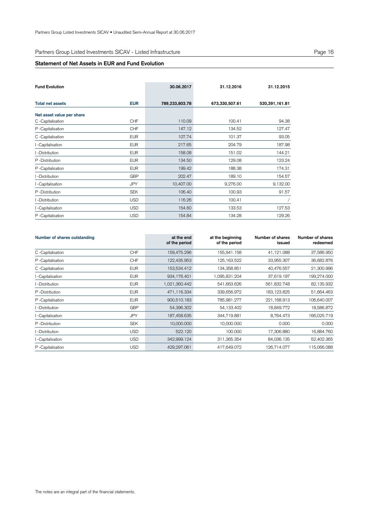## Partners Group Listed Investments SICAV - Listed Infrastructure

## **Statement of Net Assets in EUR and Fund Evolution**

| <b>Fund Evolution</b>     |            | 30.06.2017     | 31.12.2016     | 31.12.2015     |
|---------------------------|------------|----------------|----------------|----------------|
| <b>Total net assets</b>   | <b>EUR</b> | 789,233,803.78 | 673,330,507.61 | 520,391,161.81 |
| Net asset value per share |            |                |                |                |
| C -Capitalisation         | <b>CHF</b> | 110.09         | 100.41         | 94.38          |
| P-Capitalisation          | <b>CHF</b> | 147.12         | 134.52         | 127.47         |
| C -Capitalisation         | <b>EUR</b> | 107.74         | 101.37         | 93.05          |
| I-Capitalisation          | <b>EUR</b> | 217.65         | 204.79         | 187.98         |
| I -Distribution           | <b>EUR</b> | 158.08         | 151.02         | 144.21         |
| P-Distribution            | <b>EUR</b> | 134.50         | 129.08         | 123.24         |
| P-Capitalisation          | <b>EUR</b> | 199.42         | 188.38         | 174.31         |
| I-Distribution            | <b>GBP</b> | 202.47         | 189.10         | 154.57         |
| I-Capitalisation          | <b>JPY</b> | 10,407.00      | 9,276.00       | 9,132.00       |
| P-Distribution            | <b>SEK</b> | 106.40         | 100.93         | 91.57          |
| I-Distribution            | <b>USD</b> | 116.26         | 100.41         |                |
| I-Capitalisation          | <b>USD</b> | 154.60         | 133.53         | 127.53         |
| P-Capitalisation          | <b>USD</b> | 154.84         | 134.28         | 129.26         |

| Number of shares outstanding |            | at the end<br>of the period | at the beginning<br>of the period | Number of shares<br>issued | Number of shares<br>redeemed |
|------------------------------|------------|-----------------------------|-----------------------------------|----------------------------|------------------------------|
| C -Capitalisation            | <b>CHF</b> | 159,475.296                 | 155,941.158                       | 41,121.088                 | 37,586.950                   |
| P -Capitalisation            | <b>CHF</b> | 122,435.953                 | 125, 163.522                      | 33,955.307                 | 36,682.876                   |
| C -Capitalisation            | <b>EUR</b> | 153,534.412                 | 134,358.851                       | 40,476.557                 | 21,300.996                   |
| -Capitalisation              | <b>EUR</b> | 934, 176. 401               | 1,095,831.204                     | 37,619.197                 | 199,274.000                  |
| -Distribution                | <b>EUR</b> | 1,021,360.442               | 541,663.626                       | 561,832.748                | 82,135.932                   |
| P -Distribution              | <b>EUR</b> | 471,116.334                 | 339,656.972                       | 183,123.825                | 51,664.463                   |
| P-Capitalisation             | <b>EUR</b> | 900,510.183                 | 785,981.277                       | 221,168.913                | 106,640.007                  |
| l -Distribution              | <b>GBP</b> | 54,396.302                  | 54,133.402                        | 18,849.772                 | 18,586.872                   |
| -Capitalisation              | <b>JPY</b> | 187,458.635                 | 344,719.881                       | 8,764.473                  | 166,025.719                  |
| P-Distribution               | <b>SEK</b> | 10,000.000                  | 10,000.000                        | 0.000                      | 0.000                        |
| -Distribution                | <b>USD</b> | 522.120                     | 100.000                           | 17,306.880                 | 16,884.760                   |
| -Capitalisation              | <b>USD</b> | 342,999.124                 | 311,365.354                       | 84,036.135                 | 52,402.365                   |
| P -Capitalisation            | <b>USD</b> | 429,297.061                 | 417,649.072                       | 126,714.077                | 115,066.088                  |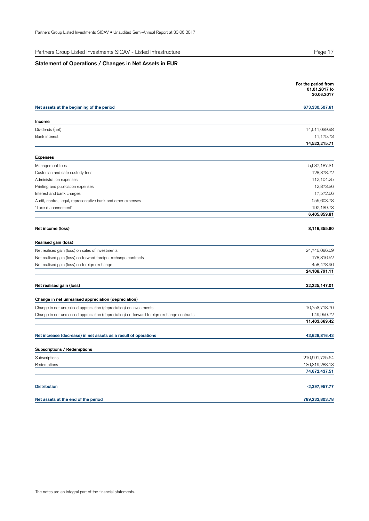Partners Group Listed Investments SICAV - Listed Infrastructure

## **Statement of Operations / Changes in Net Assets in EUR**

|                                                                                            | For the period from<br>01.01.2017 to<br>30.06.2017 |
|--------------------------------------------------------------------------------------------|----------------------------------------------------|
| Net assets at the beginning of the period                                                  | 673,330,507.61                                     |
| Income                                                                                     |                                                    |
| Dividends (net)                                                                            | 14,511,039.98                                      |
| <b>Bank interest</b>                                                                       | 11,175.73                                          |
|                                                                                            | 14,522,215.71                                      |
| <b>Expenses</b>                                                                            |                                                    |
| Management fees                                                                            | 5,687,187.31                                       |
| Custodian and safe custody fees                                                            | 128,378.72                                         |
| Administration expenses                                                                    | 112,104.25                                         |
| Printing and publication expenses                                                          | 12,873.36                                          |
| Interest and bank charges                                                                  | 17,572.66                                          |
| Audit, control, legal, representative bank and other expenses                              | 255,603.78                                         |
| "Taxe d'abonnement"                                                                        | 192,139.73<br>6,405,859.81                         |
|                                                                                            |                                                    |
| Net income (loss)                                                                          | 8,116,355.90                                       |
| Realised gain (loss)                                                                       |                                                    |
| Net realised gain (loss) on sales of investments                                           | 24,746,086.59                                      |
| Net realised gain (loss) on forward foreign exchange contracts                             | -178,816.52                                        |
| Net realised gain (loss) on foreign exchange                                               | -458,478.96                                        |
|                                                                                            | 24,108,791.11                                      |
| Net realised gain (loss)                                                                   | 32,225,147.01                                      |
| Change in net unrealised appreciation (depreciation)                                       |                                                    |
| Change in net unrealised appreciation (depreciation) on investments                        | 10,753,718.70                                      |
| Change in net unrealised appreciation (depreciation) on forward foreign exchange contracts | 649,950.72                                         |
|                                                                                            | 11,403,669.42                                      |
| Net increase (decrease) in net assets as a result of operations                            | 43,628,816.43                                      |
|                                                                                            |                                                    |
| Subscriptions / Redemptions                                                                |                                                    |
| Subscriptions                                                                              | 210,991,725.64                                     |
| Redemptions                                                                                | -136,319,288.13                                    |
|                                                                                            | 74,672,437.51                                      |
| <b>Distribution</b>                                                                        | $-2,397,957.77$                                    |
| Net assets at the end of the period                                                        | 789,233,803.78                                     |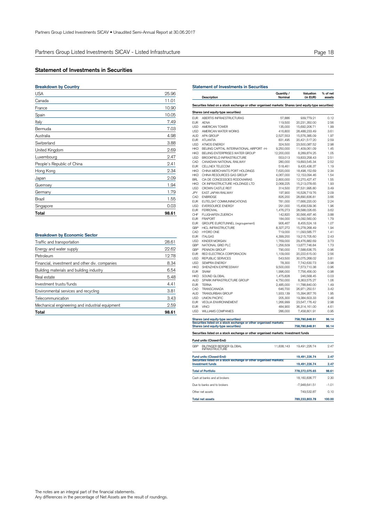## **Statement of Investments in Securities**

| <b>Breakdown by Country</b> |       |
|-----------------------------|-------|
| <b>USA</b>                  | 25.96 |
| Canada                      | 11.01 |
| France                      | 10.90 |
| Spain                       | 10.05 |
| Italy                       | 7.49  |
| Bermuda                     | 7.03  |
| Australia                   | 4.98  |
| Switzerland                 | 3.88  |
| United Kingdom              | 2.69  |
| Luxembourg                  | 2.47  |
| People's Republic of China  | 2.41  |
| Hong Kong                   | 2.34  |
| Japan                       | 2.09  |
| Guernsey                    | 1.94  |
| Germany                     | 1.79  |
| Brazil                      | 1.55  |
| Singapore                   | 0.03  |
| Total                       | 98.61 |
|                             |       |

## **Breakdown by Economic Sector**

| Total                                           | 98.61 |
|-------------------------------------------------|-------|
| Mechanical engineering and industrial equipment | 2.59  |
| Telecommunication                               | 3.43  |
| Environmental services and recycling            | 3.81  |
| Investment trusts/funds                         | 4.41  |
| Real estate                                     | 5.48  |
| Building materials and building industry        | 6.54  |
| Financial, investment and other div. companies  | 8.34  |
| Petroleum                                       | 12.78 |
| Energy and water supply                         | 22.62 |
| Traffic and transportation                      | 28.61 |

#### **Statement of Investments in Securities Description Quantity / Nominal Valuation % of net (in EUR) assets Securities listed on a stock exchange or other organised markets: Shares (and equity-type securities) Shares (and equity-type securities)** eur Abertis Infraestructuras 57,886 939,779.21 0.12<br>
EUR AFNA 119.500 20.231.350.00 2.56 EUR AENA 119,500 20,231,350.00 2.56 USD AMERICAN TOWER<br>
USD AMERICAN WATER WORKS<br>
USD AMERICAN WATER WORKS<br>
1416,800 28,488,233.49 3.61 USD AMERICAN WATER WORKS 416,800 28,488,233.49 3.61 AUD APA GROUP<br>
AUD APA GROUP 2,527,553 15,576,385.09 1.97<br>
FIIR ATLANTIA 2011 2.931.495 20.421.517.20 2.59 EUR ATLANTIA 831,495 20,421,517.20 2.59 USD ATMOS ENERGY 324,500 23,500,087.52 2.98<br>
HED BELING CARITAL INTERNATIONAL AIRPORT H 9.050,000 11.409.061.09 1.45 HKD BEIJING CAPITAL INTERNATIONAL AIRPORT -H- 9,250,000 11,409,061.09 1.45 HKD BELING ENTERPRISES WATER GROUP 12,200,000 8,289,874.25 1.05<br>HKD BELING ENTERPRISES WATER GROUP 12,200,000 8,289,874.25 1.05<br>LISD BROOKFIFI DINFRASTRUCTURE 553.013 19.833.258.43 2.51 BROOKFIELD INFRASTRUCTURE 553,013 19,833,258.43<br>CANADIAN NATIONAL RAILWAY 280,000 19.893.545.34 CAD CANADIAN NATIONAL RAILWAY 280,000 19,893,545.34 2.52 CELLNEX TELECOM HKD CHINA MERCHANTS PORT HOLDINGS 7,620,000 18,498,152.69 2.34 CHINA RESOURCES GAS GROUP BRL CIA DE CONCESSOES RODOVIARIAS 2,800,000 12,270,427.47 1.55 HKD CK INFRASTRUCTURE HOLDINGS LTD 2,068,225 15,213,078.65 1.93 USD CROWN CASTLE REIT 314,500 27,531,995.80 3.49 JPY EAST JAPAN RAILWAY 197,900 16,528,719.76 2.09 CAD ENBRIDGE 826,200 28,890,836.81 3.66 EUR EUTELSAT COMMUNINICATIONS 781,000 17,666,220.00 2.24 USD EVERSOURCE ENERGY 291,000 15,458,539.36 1.96 EUR FERROVIAL 1,476,273 28,588,026.65 3.62 CHF FLUGHAFEN ZUERICH 142,820 30,566,497.46 3.88 EUR FRAPORT 184,000 14,092,560.00 1.79<br>
FUR GROUPE FUROTUNNEL (regroupement) 906.467 8.455.504.18 1.079 EUR GROUPE EUROTUNNEL (regroupement) 906,467 8,455,524.18 1.07<br>
GBP HICL INFRASTRUCTURE 8,327,272 15,278,268.49 1.94 GBP HICL INFRASTRUCTURE 1.93-2 PHOLINE 1.94 CAD HYDRO ONE 2.194 CAD HYDRO ONE 2.194 CAD HYDRO ONE 2.194 CAD HYDRO ONE 2.194 CAD HYDRO ONE 2.194 CAD HYDRO ONE 2.194 CAD HYDRO ONE 2.194 CAD HYDRO ONE 2.194 CAD HYDRO ONE 2.19 CAD HYDRO ONE 1.41<br>
CAD HYDRO ONE 1.41<br>  $4,399,200$  19,215,705.60 2.43 EUR ITALGAS <br>
EUR ITALGAS <br>
USD KINDER MORGAN 
<br>
GBP NATIONAL GRID PLC <br>  $1,769,000$  29,476,882.69 3.73<br>  $1,215,705.60$  3.73<br>  $1,266,509$  13,677,746.84 1.73 USD KINDER MORGAN 1,769,000 29,476,882.69 2.13<br>
GBP NATIONAL GRID PLC 1,256,509 13,677,746.84 1.73 GBP NATIONAL GRID PLC (1,256,509 13,677,746.84 1.73<br>GBP PENNON GROUP (1,256,509 13,677,746.84 1.73<br>EUR RED ELECTRICA CORPORACION (1,109,000 20,222,615.00 2.56 GBP PENNON GROUP 790,000 7,588,636.75 0.96 EUR RED ELECTRICA CORPORACION 1,109,000 20,222,615.00 2.56 USD REPUBLIC SERVICES 543,500 30,075,268.02 3.81 USD SEMPRA ENERGY 78,300 7,742,630.73 0.98 SHENZHEN EXPRESSWAY EUR SNAM 1,996,000 7,756,456.00 0.98<br>
HKD SOUND GLOBAL 1,475,828 246,568.45 0.03 HKD SOUND GLOBAL 1,475,828 246,568.45 0.03 AUD SPARK INFRASTRUCTURE GROUP 4,750,000 8,363,575.27 1.06 EUR TERNA 2,485,000 11,788,840.00 1.49<br>
CAD TRANSCANADA 2,485,000 11,788,840.00 1.49<br>
CAD TRANSCANADA 646,700 26.971.250.51 3.42 CAD TRANSCANADA 646,700 26,971,250.51 3.42 AUD TRANSURBAN GROUP 1,933,139 15,394,957.76 1.95<br>1,939,139 15,394,957.76 1.95<br>1,938,4603,33 2.46 USD UNION PACIFIC<br>
EUR VEOLIA ENVIRONNEMENT<br>
2.98 2.999 2.547,176.42 2.98 EUR VEOLIA ENVIRONNEMENT 1,266,999 23,547,176.42 2.98<br>EUR VEOLIA ENVIRONNEMENT 1,266,999 23,547,176.42 2.98<br>FIJR VINCI EUR VINCI 1851 1862 1872 1884,900 36,314,161.00 4.61<br>
USD WILLIAMS COMPANIES 286,000 7,458,801.91 0.95 **WILLIAMS COMPANIES** Shares (and equity-type securities) 758,780,848.91 96.14<br>Securities listed on a stock exchange or other organised markets: **Shares (and equity-type securities) 758,780,848.91 96.14 Securities listed on a stock exchange or other organised markets: Investment funds Fund units (Closed-End)** GBP BILFINGER BERGER GLOBAL INFRASTRUCTURE 11,838,143 19,491,226.74 2.47 **Securities listed on a stock exchange or other organised markets: Fund units (Closed-End) 19,491,226.74 2.47 Investment funds 19,491,226.74 2.47 Total of Portfolio 778,272,075.65 98.61** Cash at banks and at brokers 18,160,836.77 2.30 Due to banks and to brokers -7,948,641.51 -1.01

Other net assets 749,532.87 0.10 **Total net assets 789,233,803.78 100.00**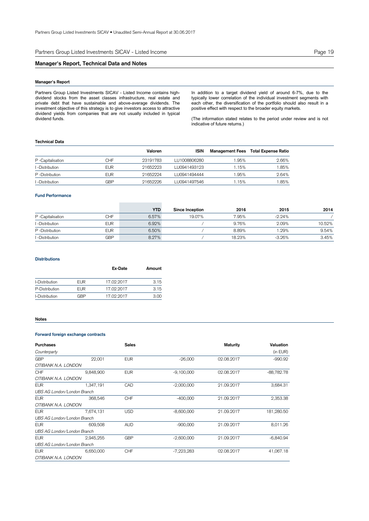Partners Group Listed Investments SICAV - Listed Income **Page 19** Page 19

## **Manager's Report, Technical Data and Notes**

## **Manager's Report**

Partners Group Listed Investments SICAV - Listed Income contains highdividend stocks from the asset classes infrastructure, real estate and private debt that have sustainable and above-average dividends. The investment objective of this strategy is to give investors access to attractive dividend yields from companies that are not usually included in typical dividend funds.

In addition to a target dividend yield of around 6-7%, due to the typically lower correlation of the individual investment segments with each other, the diversification of the portfolio should also result in a positive effect with respect to the broader equity markets.

(The information stated relates to the period under review and is not indicative of future returns.)

## **Technical Data**

|                  |            | Valoren  | <b>ISIN</b>  | <b>Management Fees</b> | Total Expense Ratio |
|------------------|------------|----------|--------------|------------------------|---------------------|
| P-Capitalisation | CHF        | 23191783 | LU1008806280 | .95%                   | 2.66%               |
| I -Distribution  | EUR        | 21652223 | LU0941493123 | .15%                   | .85%                |
| P-Distribution   | <b>EUR</b> | 21652224 | LU0941494444 | .95%                   | 2.64%               |
| l -Distribution. | GBP        | 21652226 | LU0941497546 | .15%                   | .85%                |

## **Fund Performance**

|                  |            | <b>YTD</b> | Since Inception | 2016   | 2015     | 2014   |
|------------------|------------|------------|-----------------|--------|----------|--------|
| P-Capitalisation | CHF        | 6.57%      | 19.07%          | 7.95%  | $-2.24%$ |        |
| I -Distribution  | <b>EUR</b> | 6.92%      |                 | 9.76%  | 2.09%    | 10.52% |
| P -Distribution  | <b>EUR</b> | 6.50%      |                 | 8.89%  | $1.29\%$ | 9.54%  |
| I -Distribution  | GBP        | 8.27%      |                 | 18.23% | $-3.26%$ | 3.45%  |

## **Distributions**

|                |            | Ex-Date    | Amount |
|----------------|------------|------------|--------|
| I-Distribution | <b>EUR</b> | 17.02.2017 | 3.15   |
| P-Distribution | <b>EUR</b> | 17.02.2017 | 3.15   |
| I-Distribution | GBP        | 17.02.2017 | 3.00   |

## **Notes**

## **Forward foreign exchange contracts**

| <b>Purchases</b>            |           | <b>Sales</b> |              | <b>Maturity</b> | Valuation    |
|-----------------------------|-----------|--------------|--------------|-----------------|--------------|
| Counterparty                |           |              |              |                 | (in EUR)     |
| <b>GBP</b>                  | 22,001    | <b>EUR</b>   | $-26,000$    | 02.08.2017      | $-990.92$    |
| CITIBANK N.A. LONDON        |           |              |              |                 |              |
| <b>CHF</b>                  | 9,848,900 | <b>EUR</b>   | $-9,100,000$ | 02.08.2017      | $-88,782.78$ |
| CITIBANK N.A. LONDON        |           |              |              |                 |              |
| <b>EUR</b>                  | 1.347.191 | CAD          | $-2,000,000$ | 21.09.2017      | 3,684.31     |
| UBS AG London/London Branch |           |              |              |                 |              |
| <b>EUR</b>                  | 368,546   | <b>CHF</b>   | $-400,000$   | 21.09.2017      | 2,353.38     |
| CITIBANK N.A. LONDON        |           |              |              |                 |              |
| <b>EUR</b>                  | 7,674,131 | <b>USD</b>   | $-8,600,000$ | 21.09.2017      | 181,280.50   |
| UBS AG London/London Branch |           |              |              |                 |              |
| <b>EUR</b>                  | 609,508   | <b>AUD</b>   | $-900,000$   | 21.09.2017      | 8,011.26     |
| UBS AG London/London Branch |           |              |              |                 |              |
| <b>EUR</b>                  | 2.945.255 | <b>GBP</b>   | $-2,600,000$ | 21.09.2017      | $-6.840.94$  |
| UBS AG London/London Branch |           |              |              |                 |              |
| <b>EUR</b>                  | 6,650,000 | <b>CHF</b>   | $-7,223,283$ | 02.08.2017      | 41,067.18    |
| CITIBANK N.A. LONDON        |           |              |              |                 |              |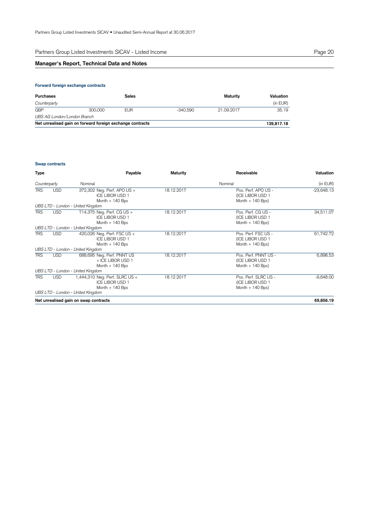## **Manager's Report, Technical Data and Notes**

## **Forward foreign exchange contracts**

| Purchases                   |                                                           | Sales      |            | Maturity   | Valuation  |
|-----------------------------|-----------------------------------------------------------|------------|------------|------------|------------|
| Counterparty                |                                                           |            |            |            | (in EUR)   |
| <b>GBP</b>                  | 300,000                                                   | <b>EUR</b> | $-340.590$ | 21.09.2017 | 35.19      |
| UBS AG London/London Branch |                                                           |            |            |            |            |
|                             | Net unrealised gain on forward foreign exchange contracts |            |            |            | 139.817.18 |

## **Swap contracts**

| <b>Type</b>  |            | Payable                                                                                                        | <b>Maturity</b> | Receivable                                                     | Valuation    |
|--------------|------------|----------------------------------------------------------------------------------------------------------------|-----------------|----------------------------------------------------------------|--------------|
| Counterparty |            | Nominal                                                                                                        |                 | Nominal                                                        | (in EUR)     |
| TRS          | <b>USD</b> | 372,302 Neg. Perf. APO US +<br><b>ICE LIBOR USD 1</b><br>Month $+140$ Bps<br>UBS LTD - London - United Kingdom | 18.12.2017      | Pos. Perf. APO US -<br>(ICE LIBOR USD 1<br>Month $+$ 140 Bps)  | $-23,648.13$ |
| <b>TRS</b>   | <b>USD</b> | 714,375 Neg. Perf. CG US +<br><b>ICE LIBOR USD 1</b><br>Month $+140$ Bps                                       | 18.12.2017      | Pos. Perf. CG US -<br>(ICE LIBOR USD 1<br>Month $+$ 140 Bps)   | 34,511.07    |
|              |            | UBS LTD - London - United Kingdom                                                                              |                 |                                                                |              |
| <b>TRS</b>   | <b>USD</b> | 420,026 Neg. Perf. FSC US +<br><b>ICE LIBOR USD 1</b><br>Month $+140$ Bps                                      | 18.12.2017      | Pos. Perf. FSC US -<br>(ICE LIBOR USD 1<br>Month $+$ 140 Bps)  | 61,742.72    |
|              |            | UBS LTD - London - United Kingdom                                                                              |                 |                                                                |              |
| <b>TRS</b>   | <b>USD</b> | 688,695 Neg. Perf. PNNT US<br>+ ICE LIBOR USD 1<br>Month $+140$ Bps                                            | 18.12.2017      | Pos. Perf. PNNT US -<br>(ICE LIBOR USD 1<br>Month $+$ 140 Bps) | 6,898.53     |
|              |            | UBS LTD - London - United Kingdom                                                                              |                 |                                                                |              |
| <b>TRS</b>   | <b>USD</b> | 1,444,310 Neg. Perf. SLRC US +<br><b>ICE LIBOR USD 1</b><br>Month $+140$ Bps                                   | 18.12.2017      | Pos. Perf. SLRC US -<br>(ICE LIBOR USD 1<br>Month $+$ 140 Bps) | $-9,648.00$  |
|              |            | UBS LTD - London - United Kingdom                                                                              |                 |                                                                |              |
|              |            | Net unrealised gain on swap contracts                                                                          |                 |                                                                | 69,856.19    |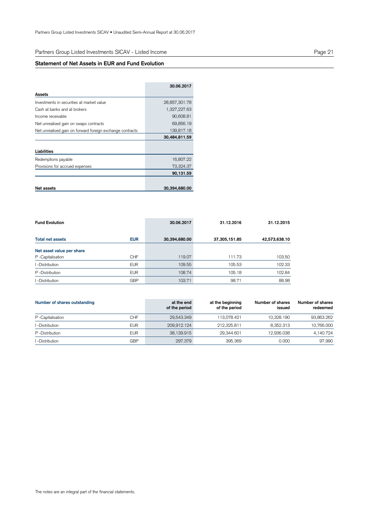## **Statement of Net Assets in EUR and Fund Evolution**

|                                                           | 30.06.2017    |
|-----------------------------------------------------------|---------------|
| Assets                                                    |               |
| Investments in securities at market value                 | 28,857,301.78 |
| Cash at banks and at brokers                              | 1,327,227.63  |
| Income receivable                                         | 90,608.81     |
| Net unrealised gain on swaps contracts                    | 69,856.19     |
| Net unrealised gain on forward foreign exchange contracts | 139,817.18    |
|                                                           | 30,484,811.59 |
|                                                           |               |
| Liabilities                                               |               |
| Redemptions payable                                       | 16,807.22     |
| Provisions for accrued expenses                           | 73,324.37     |
|                                                           | 90,131.59     |
|                                                           |               |
| Net assets                                                | 30,394,680.00 |

| <b>Fund Evolution</b>     |            | 30.06.2017    | 31.12.2016    | 31.12.2015    |
|---------------------------|------------|---------------|---------------|---------------|
| <b>Total net assets</b>   | <b>EUR</b> | 30,394,680.00 | 37,305,151.85 | 42,573,638.10 |
| Net asset value per share |            |               |               |               |
| P-Capitalisation          | <b>CHF</b> | 119.07        | 111.73        | 103.50        |
| I -Distribution           | <b>EUR</b> | 109.55        | 105.53        | 102.33        |
| P -Distribution           | <b>EUR</b> | 108.74        | 105.18        | 102.84        |
| l -Distribution           | <b>GBP</b> | 103.71        | 98.71         | 88.98         |

| Number of shares outstanding |            | at the end<br>of the period | at the beginning<br>of the period | Number of shares<br>issued | Number of shares<br>redeemed |
|------------------------------|------------|-----------------------------|-----------------------------------|----------------------------|------------------------------|
| P -Capitalisation            | CHF        | 29,543.349                  | 113.078.421                       | 10.328.190                 | 93.863.262                   |
| -Distribution                | <b>EUR</b> | 209.912.124                 | 212.325.811                       | 8.352.313                  | 10.766.000                   |
| P -Distribution              | <b>EUR</b> | 38,139.915                  | 29.344.601                        | 12,936.038                 | 4.140.724                    |
| -Distribution                | <b>GBP</b> | 297.379                     | 395.369                           | 0.000                      | 97.990                       |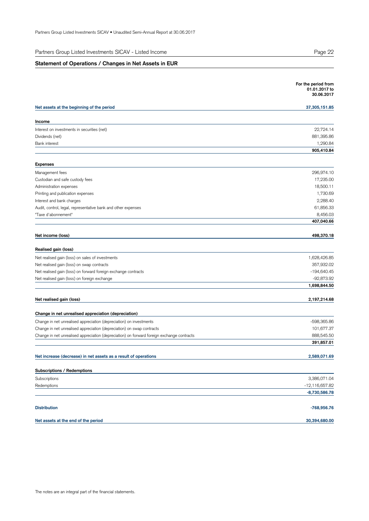| Partners Group Listed Investments SICAV - Listed Income |  |
|---------------------------------------------------------|--|
|---------------------------------------------------------|--|

## **Statement of Operations / Changes in Net Assets in EUR**

|                                                                                            | For the period from<br>01.01.2017 to<br>30.06.2017 |
|--------------------------------------------------------------------------------------------|----------------------------------------------------|
| Net assets at the beginning of the period                                                  | 37,305,151.85                                      |
| Income                                                                                     |                                                    |
| Interest on investments in securities (net)                                                | 22,724.14                                          |
| Dividends (net)                                                                            | 881,395.86                                         |
| <b>Bank interest</b>                                                                       | 1,290.84                                           |
|                                                                                            | 905,410.84                                         |
| <b>Expenses</b>                                                                            |                                                    |
| Management fees                                                                            | 296,974.10                                         |
| Custodian and safe custody fees                                                            | 17,235.00                                          |
| Administration expenses                                                                    | 18,500.11                                          |
| Printing and publication expenses                                                          | 1,730.69                                           |
| Interest and bank charges                                                                  | 2,288.40                                           |
| Audit, control, legal, representative bank and other expenses                              | 61,856.33                                          |
| "Taxe d'abonnement"                                                                        | 8,456.03                                           |
|                                                                                            | 407,040.66                                         |
| Net income (loss)                                                                          | 498,370.18                                         |
| Realised gain (loss)                                                                       |                                                    |
| Net realised gain (loss) on sales of investments                                           | 1,628,426.85                                       |
| Net realised gain (loss) on swap contracts                                                 | 357,932.02                                         |
| Net realised gain (loss) on forward foreign exchange contracts                             | $-194,640.45$                                      |
| Net realised gain (loss) on foreign exchange                                               | $-92,873.92$                                       |
|                                                                                            | 1,698,844.50                                       |
| Net realised gain (loss)                                                                   | 2,197,214.68                                       |
| Change in net unrealised appreciation (depreciation)                                       |                                                    |
| Change in net unrealised appreciation (depreciation) on investments                        | -598,365.86                                        |
| Change in net unrealised appreciation (depreciation) on swap contracts                     | 101,677.37                                         |
| Change in net unrealised appreciation (depreciation) on forward foreign exchange contracts | 888,545.50                                         |
|                                                                                            | 391,857.01                                         |
|                                                                                            |                                                    |
| Net increase (decrease) in net assets as a result of operations                            | 2,589,071.69                                       |
| Subscriptions / Redemptions                                                                |                                                    |
| Subscriptions                                                                              | 3,386,071.04                                       |
| Redemptions                                                                                | -12,116,657.82                                     |
|                                                                                            | $-8,730,586.78$                                    |
| <b>Distribution</b>                                                                        | $-768,956.76$                                      |
| Net assets at the end of the period                                                        | 30,394,680.00                                      |
|                                                                                            |                                                    |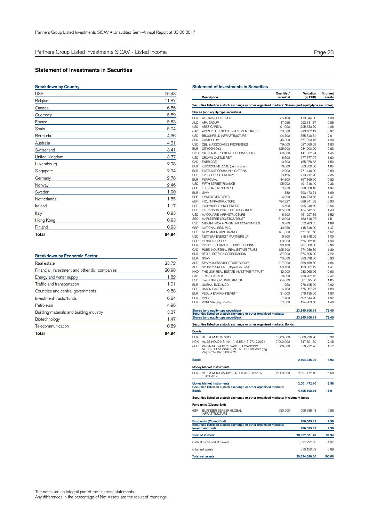## **Statement of Investments in Securities**

| <b>Breakdown by Country</b> |       |
|-----------------------------|-------|
| <b>USA</b>                  | 25.43 |
| Belgium                     | 11.87 |
| Canada                      | 6.86  |
| Guernsey                    | 5.89  |
| France                      | 5.63  |
| Spain                       | 5.04  |
| Bermuda                     | 4.36  |
| Australia                   | 4.21  |
| Switzerland                 | 3.41  |
| United Kingdom              | 3.37  |
| Luxembourg                  | 2.98  |
| Singapore                   | 2.94  |
| Germany                     | 2.78  |
| Norway                      | 2.46  |
| Sweden                      | 1.90  |
| Netherlands                 | 1.85  |
| Ireland                     | 1.17  |
| Italy                       | 0.93  |
| Hong Kong                   | 0.93  |
| Finland                     | 0.93  |
| Total                       | 94.94 |
|                             |       |

## **Breakdown by Economic Sector**

| Real estate                                    | 23.72 |
|------------------------------------------------|-------|
| Financial, investment and other div. companies | 20.98 |
| Energy and water supply                        | 11.82 |
| Traffic and transportation                     | 11.01 |
| Countries and central governments              | 9.88  |
| Investment trusts/funds                        | 6.84  |
| Petroleum                                      | 4.96  |
| Building materials and building industry       | 3.37  |
| Biotechnology                                  | 1.47  |
| Telecommunication                              | 0.89  |
| Total                                          | 94.94 |

| EUR<br>AUD<br>USD | Description                                                                                                | Quantity /<br>Nominal | Valuation<br>(in EUR)    | % of net<br>assets |
|-------------------|------------------------------------------------------------------------------------------------------------|-----------------------|--------------------------|--------------------|
|                   | Securities listed on a stock exchange or other organised markets: Shares (and equity-type securities)      |                       |                          |                    |
|                   | Shares (and equity-type securities)                                                                        |                       |                          |                    |
|                   | ALSTRIA OFFICE REIT                                                                                        | 35,400                | 419,844.00               | 1.38               |
|                   | APA GROUP                                                                                                  | 47,566                | 293,131.87               | 0.96               |
|                   | <b>ARES CAPITAL</b>                                                                                        | 91,000                | 1,295,733.60             | 4.26               |
| CAD               | ARTIS REAL ESTATE INVESTMENT TRUST                                                                         | 33,300                | 293,467.19               | 0.97               |
| USD<br><b>SEK</b> | BROOKFIELD INFRASTRUCTURE<br>CASTELLUM                                                                     | 24,700                | 885,840.81<br>577,323.15 | 2.91<br>1.90       |
| USD               | CBL & ASSOCIATES PROPERTIES                                                                                | 45,300<br>79,000      | 587,669.02               | 1.93               |
| EUR               | CITYCON OYJ                                                                                                | 125,000               | 284,000.00               | 0.93               |
| <b>HKD</b>        | CK INFRASTRUCTURE HOLDINGS LTD                                                                             | 60,000                | 441,337.24               | 1.45               |
| <b>USD</b>        | CROWN CASTI F RFIT                                                                                         | 6,600                 | 577,777.97               | 1.90               |
| CAD               | <b>ENBRIDGE</b>                                                                                            | 13,300                | 465,078.83               | 1.53               |
| EUR               | EUROCOMMERCIAL (cert. shares)                                                                              | 16,000                | 563,200.00               | 1.85               |
| <b>EUR</b>        | EUTELSAT COMMUNINICATIONS                                                                                  | 12,000                | 271,440.00               | 0.89               |
| USD               | <b>EVERSOURCE ENERGY</b>                                                                                   | 13,426                | 713,217.70               | 2.35               |
| <b>EUR</b>        | <b>FERROVIAL</b>                                                                                           | 44,300                | 857,869.50               | 2.82               |
| <b>USD</b>        | FIFTH STREET FINANCE                                                                                       | 25,000                | 101,518.40               | 0.33               |
| CHF               | <b>FLUGHAFEN ZUERICH</b>                                                                                   | 2,750                 | 588,558.10               | 1.94               |
| EUR               | GIMV                                                                                                       | 11,382                | 603,473.64               | 1.99               |
| CHF               | <b>HBM BIOVENTURES</b>                                                                                     | 4,300                 | 446,773.68               | 1.47               |
| GBP               | <b>HICL INFRASTRUCTURE</b>                                                                                 | 484,727               | 889,341.58               | 2.93               |
| <b>USD</b>        | <b>HIGHWOODS PROPERTIES</b>                                                                                | 6,500                 | 285,848.69               | 0.94               |
| <b>USD</b>        | HUTCHISON PORT HOLDINGS TRUST                                                                              | 1,155,000             | 434,647.53               | 1.43               |
| USD               | MACQUARIE INFRASTRUCTURE                                                                                   | 6,700                 | 461,227.85               | 1.52               |
| SGD               | MAPLETREE LOGISTICS TRUST                                                                                  | 610,000               | 460,318.97               | 1.51               |
| USD               | MID-AMERICA APARTMENT COMMUNITIES                                                                          | 6,200                 | 572,983.85               | 1.89               |
| GBP               | NATIONAL GRID PLC                                                                                          | 40,958                | 445,848.90               | 1.47               |
| USD               | NEW MOUNTAIN FINANCE                                                                                       | 131,300               | 1,677,661.58             | 5.52               |
| <b>USD</b>        | NEXTERA ENERGY PARTNERS LP                                                                                 | 9,700                 | 318,848.29               | 1.05               |
| GBP               | PENNON GROUP                                                                                               | 60,000                | 576,352.16               | 1.90               |
| <b>EUR</b>        | PRINCESS PRIVATE EQUITY HOLDING                                                                            | 90,100                | 901,000.00               | 2.96               |
| CAD               | PURE INDUSTRIAL REAL ESTATE TRUST                                                                          | 125,500               | 574,989.89               | 1.89               |
| <b>EUR</b>        | RED ELECTRICA CORPORACION                                                                                  | 37,000                | 674,695.00               | 2.22               |
| <b>EUR</b>        | <b>SNAM</b>                                                                                                | 73,000                | 283,678.00               | 0.93               |
| AUD               | SPARK INFRASTRUCTURE GROUP                                                                                 | 317,000               | 558,158.60               | 1.84               |
| AUD               | SYDNEY AIRPORT (stapled security)                                                                          | 90,100                | 429,307.12               | 1.41               |
| <b>HKD</b>        | THE LINK REAL ESTATE INVESTMENT TRUST                                                                      | 42,500                | 283,068.06               | 0.93               |
| CAD               | TRANSCANADA                                                                                                | 18,000                | 750,707.45               | 2.47               |
| USD               | TWO HARBORS INVESTMENT<br>UNIBAIL RODAMCO                                                                  | 64,600                | 561,395.00               | 1.85               |
| EUR<br><b>USD</b> | <b>UNION PACIFIC</b>                                                                                       | 1,250                 | 278,125.00               | 0.92<br>1.89       |
| EUR               | <b>VEOLIA ENVIRONNEMENT</b>                                                                                | 6,100<br>31,000       | 575,967.27<br>576,135.00 | 1.90               |
| EUR               | <b>VINCI</b>                                                                                               | 7,780                 | 582,644.20               | 1.92               |
| EUR               | VONOVIA (reg. shares)                                                                                      | 12,300                | 424,903.50               | 1.40               |
|                   | Shares (and equity-type securities)<br>Securities listed on a stock exchange or other organised markets:   |                       | 23,845,108.19            | 78.45              |
|                   | Shares (and equity-type securities)                                                                        |                       | 23,845,108.19            | 78.45              |
|                   | Securities listed on a stock exchange or other organised markets: Bonds                                    |                       |                          |                    |
| Bonds             |                                                                                                            |                       |                          |                    |
| EUR               | BELGIUM 13.07.2017                                                                                         | 1,000,000             | 1,000,276.98             | 3.30               |
| NOK               | ML 33 HOLDING 144 - A- 5.5%/16-27.12.2021                                                                  | 7,000,000             | 747,321.32               | 2.46               |
| GBP               | VIRGIN MEDIA RECEIVABLES FINANCING<br>NOTES I DESIGNATED ACTIVITY COMPANY (reg.<br>-S-) 5.5%/16-15.09.2024 | 300,000               | 356,737.76               | 1.17               |
| <b>Bonds</b>      |                                                                                                            |                       | 2,104,336.06             | 6.93               |
|                   | <b>Money Market Instruments</b>                                                                            |                       |                          |                    |
| EUR               | BELGIUM TREASURY CERTIFICATES 0%/16-<br>10.08.2017                                                         | 2,000,000             | 2,001,472.10             | 6.58               |
|                   | <b>Money Market Instruments</b>                                                                            |                       | 2,001,472.10             | 6.58               |
|                   | Securities listed on a stock exchange or other organised markets:                                          |                       | 4,105,808.16             | 13.51              |
|                   | Securities listed on a stock exchange or other organised markets: Investment funds                         |                       |                          |                    |
|                   |                                                                                                            |                       |                          |                    |
|                   |                                                                                                            |                       |                          |                    |
| GBP               | Fund units (Closed-End)<br>BILFINGER BERGER GLOBAL<br><b>INFRASTRUCTURE</b>                                | 550,500               | 906,385.43               | 2.98               |
|                   | <b>Fund units (Closed-End)</b>                                                                             |                       | 906,385.43               | 2.98               |
|                   | Securities listed on a stock exchange or other organised markets:<br><b>Investment funds</b>               |                       | 906,385.43               | 2.98               |
|                   | <b>Total of Portfolio</b>                                                                                  |                       | 28,857,301.78            | 94.94              |
| <b>Bonds</b>      | Cash at banks and at brokers                                                                               |                       | 1,327,227.63             | 4.37               |
|                   | Other net assets                                                                                           |                       | 210, 150.59              | 0.69               |

**Statement of Investments in Securities**